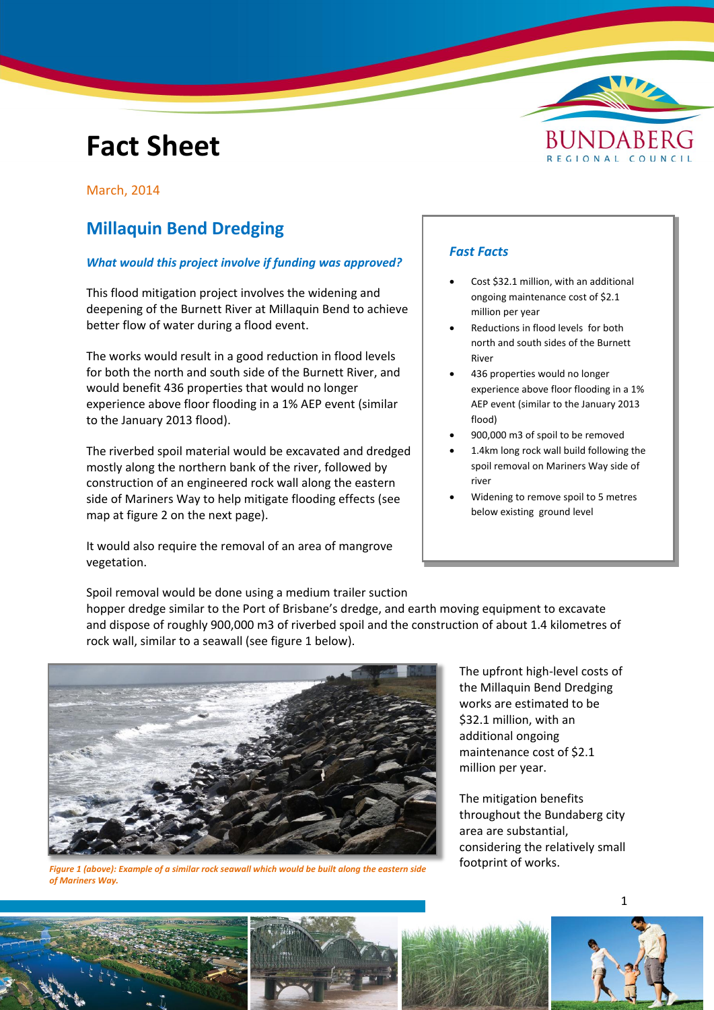# **Fact Sheet**



### March, 2014

# **Millaquin Bend Dredging**

## *What would this project involve if funding was approved?*

This flood mitigation project involves the widening and deepening of the Burnett River at Millaquin Bend to achieve better flow of water during a flood event.

The works would result in a good reduction in flood levels for both the north and south side of the Burnett River, and would benefit 436 properties that would no longer experience above floor flooding in a 1% AEP event (similar to the January 2013 flood).

The riverbed spoil material would be excavated and dredged mostly along the northern bank of the river, followed by construction of an engineered rock wall along the eastern side of Mariners Way to help mitigate flooding effects (see map at figure 2 on the next page).

It would also require the removal of an area of mangrove vegetation.

# *Fast Facts*

- Cost \$32.1 million, with an additional ongoing maintenance cost of \$2.1 million per year
- Reductions in flood levels for both north and south sides of the Burnett River
- 436 properties would no longer experience above floor flooding in a 1% AEP event (similar to the January 2013 flood)
- 900,000 m3 of spoil to be removed
- 1.4km long rock wall build following the spoil removal on Mariners Way side of river
- Widening to remove spoil to 5 metres below existing ground level

Spoil removal would be done using a medium trailer suction hopper dredge similar to the Port of Brisbane's dredge, and earth moving equipment to excavate and dispose of roughly 900,000 m3 of riverbed spoil and the construction of about 1.4 kilometres of rock wall, similar to a seawall (see figure 1 below).



*Figure 1 (above): Example of a similar rock seawall which would be built along the eastern side of Mariners Way.*

The upfront high-level costs of the Millaquin Bend Dredging works are estimated to be \$32.1 million, with an additional ongoing maintenance cost of \$2.1 million per year.

The mitigation benefits throughout the Bundaberg city area are substantial, considering the relatively small footprint of works.

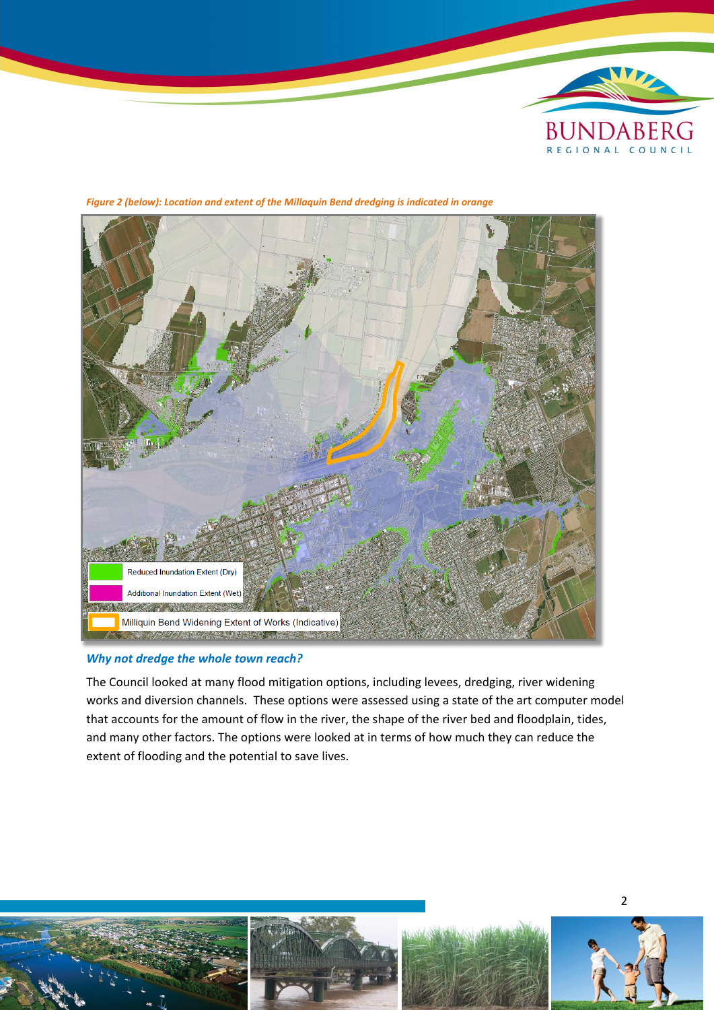



*Figure 2 (below): Location and extent of the Millaquin Bend dredging is indicated in orange*

#### *Why not dredge the whole town reach?*

The Council looked at many flood mitigation options, including levees, dredging, river widening works and diversion channels. These options were assessed using a state of the art computer model that accounts for the amount of flow in the river, the shape of the river bed and floodplain, tides, and many other factors. The options were looked at in terms of how much they can reduce the extent of flooding and the potential to save lives.